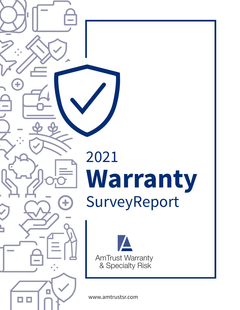



www.amtrustsr.com

 $\Box$ 

 $\ddot{}$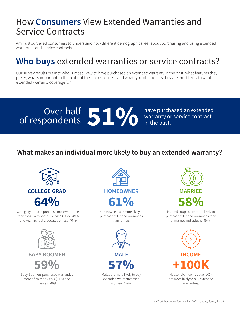## How **Consumers** View Extended Warranties and Service Contracts

AmTrust surveyed consumers to understand how different demographics feel about purchasing and using extended warranties and service contracts.

## **Who buys** extended warranties or service contracts?

Our survey results dig into who is most likely to have purchased an extended warranty in the past, what features they prefer, what's important to them about the claims process and what type of products they are most likely to want extended warranty coverage for.

# Over half **51%** have purchased an extended warranty or service contract in the past.

warranty or service contract in the past.

#### **What makes an individual more likely to buy an extended warranty?**



College graduates purchase more warranties than those with some College/Degree (48%) and High School graduates or less (40%).



Baby Boomers purchased warranties more often than Gen X (54%) and Millenials (46%).



Homeowners are more likely to purchase extended warranties than renters.



Males are more likely to buy extended warranties than women (45%).



Married couples are more likely to purchase extended warranties than unmarried individuals (45%).

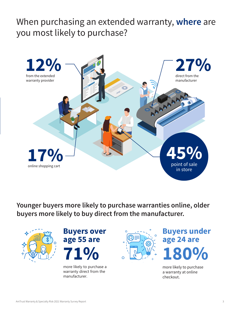## When purchasing an extended warranty, **where** are you most likely to purchase?



**Younger buyers more likely to purchase warranties online, older buyers more likely to buy direct from the manufacturer.**





more likely to purchase a warranty direct from the manufacturer.



**180% Buyers under age 24 are**

more likely to purchase a warranty at online checkout.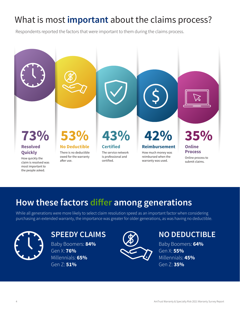# What is most **important** about the claims process?

Respondents reported the factors that were important to them during the claims process.



# **How these factors differ among generations**

While all generations were more likely to select claim resolution speed as an important factor when considering purchasing an extended warranty, the importance was greater for older generations, as was having no deductible.



## **SPEEDY CLAIMS**

Baby Boomers: **84%** Gen X: **76%** Millennials: **65%** Gen Z: **51%**



### **NO DEDUCTIBLE**

Baby Boomers: **64%** Gen X: **55%** Millennials: **45%** Gen Z: **35%**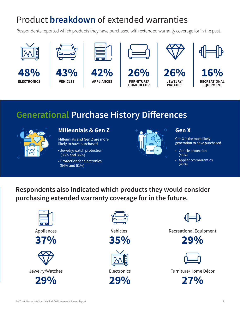# Product **breakdown** of extended warranties

Respondents reported which products they have purchased with extended warranty coverage for in the past.











**42% APPLIANCES**

**26% FURNITURE/ HOME DECOR**



**26% JEWELRY/ WATCHES**



**16% RECREATIONAL EQUIPMENT**

## **Generational Purchase History Differences**



#### **Millennials & Gen Z**

Millennials and Gen Z are more likely to have purchased

- Jewelry/watch protection (38% and 36%)
- Protection for electronics (54% and 51%)



#### **Gen X**

Gen X is the most likely generation to have purchased

- Vehicle protection (46%)
- Appliances warranties (46%)

**Respondents also indicated which products they would consider purchasing extended warranty coverage for in the future.**



Appliances









Vehicles







ШÞ

Recreational Equipment





Furniture/Home Décor

**27%**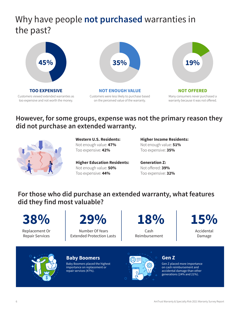## Why have people **not purchased** warranties in the past?



Customers viewed extended warranties as too expensive and not worth the money.



Customers were less likely to purchase based on the perceived value of the warranty.



**NOT OFFERED** Many consumers never purchased a warranty because it was not offered.

#### **However, for some groups, expense was not the primary reason they did not purchase an extended warranty.**



**Western U.S. Residents:**  Not enough value: **47%** Too expensive: **42%**

**Higher Education Residents:**  Not enough value: **50%** Too expensive: **44%**

**Higher Income Residents:**  Not enough value: **51%** Too expensive: **35%**

**Generation Z:**  Not offered: **39%** Too expensive: **32%**

#### **For those who did purchase an extended warranty, what features did they find most valuable?**

**38%**

Replacement Or Repair Services



 Number Of Years Extended Protection Lasts **18%**

Cash Reimbursement



Accidental Damage



#### **Baby Boomers**

Baby Boomers placed the highest importance on replacement or repair services (47%).



#### **Gen Z**

Gen Z placed more importance on cash reimbursement and accidental damage than other generations (24% and 21%).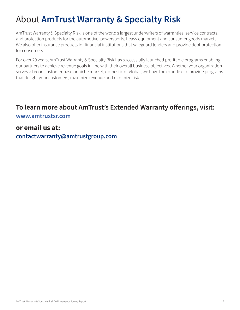# About **AmTrust Warranty & Specialty Risk**

AmTrust Warranty & Specialty Risk is one of the world's largest underwriters of warranties, service contracts, and protection products for the automotive, powersports, heavy equipment and consumer goods markets. We also offer insurance products for financial institutions that safeguard lenders and provide debt protection for consumers.

For over 20 years, AmTrust Warranty & Specialty Risk has successfully launched profitable programs enabling our partners to achieve revenue goals in line with their overall business objectives. Whether your organization serves a broad customer base or niche market, domestic or global, we have the expertise to provide programs that delight your customers, maximize revenue and minimize risk.

#### **To learn more about AmTrust's Extended Warranty offerings, visit: [www.amtrustsr.com](https://amtrustfinancial.com/specialty-risk)**

#### **or email us at:**

**contactwarranty@amtrustgroup.com**